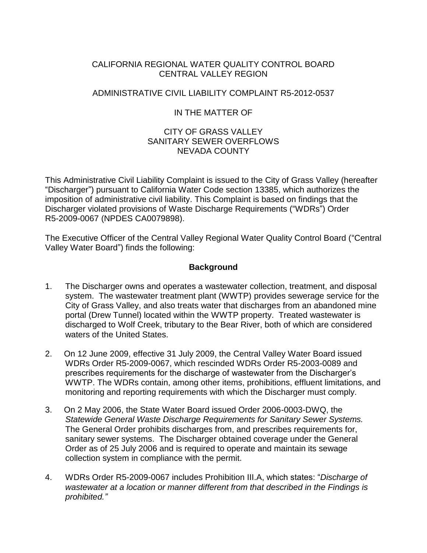# CALIFORNIA REGIONAL WATER QUALITY CONTROL BOARD CENTRAL VALLEY REGION

# ADMINISTRATIVE CIVIL LIABILITY COMPLAINT R5-2012-0537

# IN THE MATTER OF

# CITY OF GRASS VALLEY SANITARY SEWER OVERFLOWS NEVADA COUNTY

This Administrative Civil Liability Complaint is issued to the City of Grass Valley (hereafter "Discharger") pursuant to California Water Code section 13385, which authorizes the imposition of administrative civil liability. This Complaint is based on findings that the Discharger violated provisions of Waste Discharge Requirements ("WDRs") Order R5-2009-0067 (NPDES CA0079898).

The Executive Officer of the Central Valley Regional Water Quality Control Board ("Central Valley Water Board") finds the following:

# **Background**

- 1. The Discharger owns and operates a wastewater collection, treatment, and disposal system. The wastewater treatment plant (WWTP) provides sewerage service for the City of Grass Valley, and also treats water that discharges from an abandoned mine portal (Drew Tunnel) located within the WWTP property. Treated wastewater is discharged to Wolf Creek, tributary to the Bear River, both of which are considered waters of the United States.
- 2. On 12 June 2009, effective 31 July 2009, the Central Valley Water Board issued WDRs Order R5-2009-0067, which rescinded WDRs Order R5-2003-0089 and prescribes requirements for the discharge of wastewater from the Discharger's WWTP. The WDRs contain, among other items, prohibitions, effluent limitations, and monitoring and reporting requirements with which the Discharger must comply.
- 3. On 2 May 2006, the State Water Board issued Order 2006-0003-DWQ, the *Statewide General Waste Discharge Requirements for Sanitary Sewer Systems.* The General Order prohibits discharges from, and prescribes requirements for, sanitary sewer systems. The Discharger obtained coverage under the General Order as of 25 July 2006 and is required to operate and maintain its sewage collection system in compliance with the permit.
- 4. WDRs Order R5-2009-0067 includes Prohibition III.A, which states: "*Discharge of wastewater at a location or manner different from that described in the Findings is prohibited."*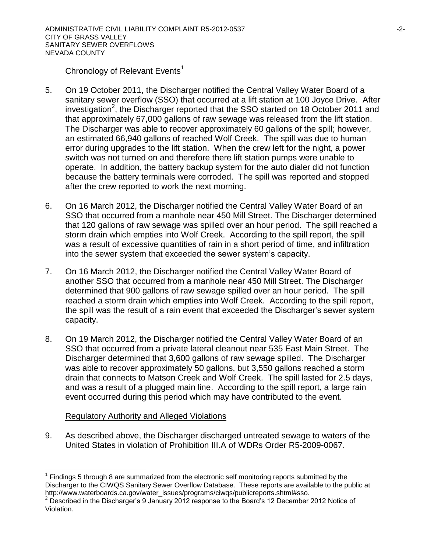### Chronology of Relevant Events<sup>1</sup>

- 5. On 19 October 2011, the Discharger notified the Central Valley Water Board of a sanitary sewer overflow (SSO) that occurred at a lift station at 100 Joyce Drive. After investigation<sup>2</sup>, the Discharger reported that the SSO started on 18 October 2011 and that approximately 67,000 gallons of raw sewage was released from the lift station. The Discharger was able to recover approximately 60 gallons of the spill; however, an estimated 66,940 gallons of reached Wolf Creek. The spill was due to human error during upgrades to the lift station. When the crew left for the night, a power switch was not turned on and therefore there lift station pumps were unable to operate. In addition, the battery backup system for the auto dialer did not function because the battery terminals were corroded. The spill was reported and stopped after the crew reported to work the next morning.
- 6. On 16 March 2012, the Discharger notified the Central Valley Water Board of an SSO that occurred from a manhole near 450 Mill Street. The Discharger determined that 120 gallons of raw sewage was spilled over an hour period. The spill reached a storm drain which empties into Wolf Creek. According to the spill report, the spill was a result of excessive quantities of rain in a short period of time, and infiltration into the sewer system that exceeded the sewer system's capacity.
- 7. On 16 March 2012, the Discharger notified the Central Valley Water Board of another SSO that occurred from a manhole near 450 Mill Street. The Discharger determined that 900 gallons of raw sewage spilled over an hour period. The spill reached a storm drain which empties into Wolf Creek. According to the spill report, the spill was the result of a rain event that exceeded the Discharger's sewer system capacity.
- 8. On 19 March 2012, the Discharger notified the Central Valley Water Board of an SSO that occurred from a private lateral cleanout near 535 East Main Street. The Discharger determined that 3,600 gallons of raw sewage spilled. The Discharger was able to recover approximately 50 gallons, but 3,550 gallons reached a storm drain that connects to Matson Creek and Wolf Creek. The spill lasted for 2.5 days, and was a result of a plugged main line. According to the spill report, a large rain event occurred during this period which may have contributed to the event.

# Regulatory Authority and Alleged Violations

l

9. As described above, the Discharger discharged untreated sewage to waters of the United States in violation of Prohibition III.A of WDRs Order R5-2009-0067.

 $1$  Findings 5 through 8 are summarized from the electronic self monitoring reports submitted by the Discharger to the CIWQS Sanitary Sewer Overflow Database. These reports are available to the public at http://www.waterboards.ca.gov/water\_issues/programs/ciwqs/publicreports.shtml#sso.

 $2^{2}$  Described in the Discharger's 9 January 2012 response to the Board's 12 December 2012 Notice of Violation.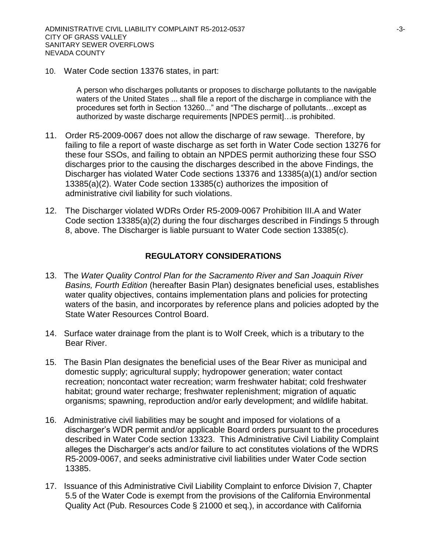10. Water Code section 13376 states, in part:

A person who discharges pollutants or proposes to discharge pollutants to the navigable waters of the United States ... shall file a report of the discharge in compliance with the procedures set forth in Section 13260..." and "The discharge of pollutants…except as authorized by waste discharge requirements [NPDES permit]…is prohibited.

- 11. Order R5-2009-0067 does not allow the discharge of raw sewage. Therefore, by failing to file a report of waste discharge as set forth in Water Code section 13276 for these four SSOs, and failing to obtain an NPDES permit authorizing these four SSO discharges prior to the causing the discharges described in the above Findings, the Discharger has violated Water Code sections 13376 and 13385(a)(1) and/or section 13385(a)(2). Water Code section 13385(c) authorizes the imposition of administrative civil liability for such violations.
- 12. The Discharger violated WDRs Order R5-2009-0067 Prohibition III.A and Water Code section 13385(a)(2) during the four discharges described in Findings 5 through 8, above. The Discharger is liable pursuant to Water Code section 13385(c).

### **REGULATORY CONSIDERATIONS**

- 13. The *Water Quality Control Plan for the Sacramento River and San Joaquin River Basins, Fourth Edition* (hereafter Basin Plan) designates beneficial uses, establishes water quality objectives, contains implementation plans and policies for protecting waters of the basin, and incorporates by reference plans and policies adopted by the State Water Resources Control Board.
- 14. Surface water drainage from the plant is to Wolf Creek, which is a tributary to the Bear River.
- 15. The Basin Plan designates the beneficial uses of the Bear River as municipal and domestic supply; agricultural supply; hydropower generation; water contact recreation; noncontact water recreation; warm freshwater habitat; cold freshwater habitat; ground water recharge; freshwater replenishment; migration of aquatic organisms; spawning, reproduction and/or early development; and wildlife habitat.
- 16. Administrative civil liabilities may be sought and imposed for violations of a discharger's WDR permit and/or applicable Board orders pursuant to the procedures described in Water Code section 13323. This Administrative Civil Liability Complaint alleges the Discharger's acts and/or failure to act constitutes violations of the WDRS R5-2009-0067, and seeks administrative civil liabilities under Water Code section 13385.
- 17. Issuance of this Administrative Civil Liability Complaint to enforce Division 7, Chapter 5.5 of the Water Code is exempt from the provisions of the California Environmental Quality Act (Pub. Resources Code § 21000 et seq.), in accordance with California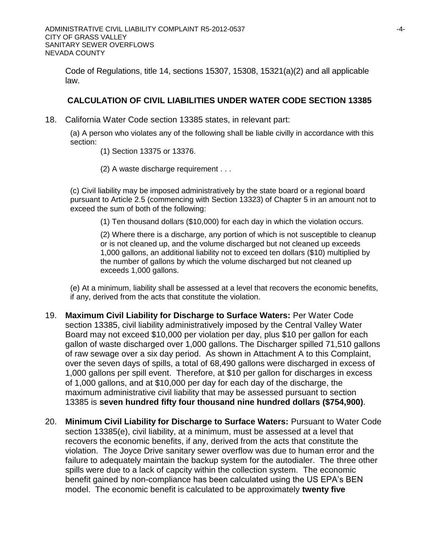Code of Regulations, title 14, sections 15307, 15308, 15321(a)(2) and all applicable law.

### **CALCULATION OF CIVIL LIABILITIES UNDER WATER CODE SECTION 13385**

18. California Water Code section 13385 states, in relevant part:

(a) A person who violates any of the following shall be liable civilly in accordance with this section:

- (1) Section 13375 or 13376.
- (2) A waste discharge requirement . . .

(c) Civil liability may be imposed administratively by the state board or a regional board pursuant to Article 2.5 (commencing with Section 13323) of Chapter 5 in an amount not to exceed the sum of both of the following:

(1) Ten thousand dollars (\$10,000) for each day in which the violation occurs.

(2) Where there is a discharge, any portion of which is not susceptible to cleanup or is not cleaned up, and the volume discharged but not cleaned up exceeds 1,000 gallons, an additional liability not to exceed ten dollars (\$10) multiplied by the number of gallons by which the volume discharged but not cleaned up exceeds 1,000 gallons.

(e) At a minimum, liability shall be assessed at a level that recovers the economic benefits, if any, derived from the acts that constitute the violation.

- 19. **Maximum Civil Liability for Discharge to Surface Waters:** Per Water Code section 13385, civil liability administratively imposed by the Central Valley Water Board may not exceed \$10,000 per violation per day, plus \$10 per gallon for each gallon of waste discharged over 1,000 gallons. The Discharger spilled 71,510 gallons of raw sewage over a six day period. As shown in Attachment A to this Complaint, over the seven days of spills, a total of 68,490 gallons were discharged in excess of 1,000 gallons per spill event. Therefore, at \$10 per gallon for discharges in excess of 1,000 gallons, and at \$10,000 per day for each day of the discharge, the maximum administrative civil liability that may be assessed pursuant to section 13385 is **seven hundred fifty four thousand nine hundred dollars (\$754,900)**.
- 20. **Minimum Civil Liability for Discharge to Surface Waters:** Pursuant to Water Code section 13385(e), civil liability, at a minimum, must be assessed at a level that recovers the economic benefits, if any, derived from the acts that constitute the violation. The Joyce Drive sanitary sewer overflow was due to human error and the failure to adequately maintain the backup system for the autodialer. The three other spills were due to a lack of capcity within the collection system. The economic benefit gained by non-compliance has been calculated using the US EPA's BEN model. The economic benefit is calculated to be approximately **twenty five**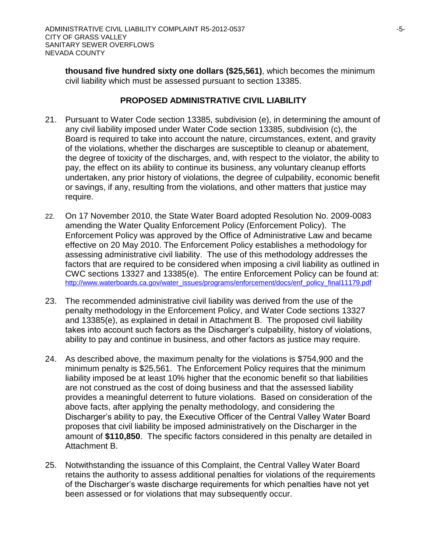**thousand five hundred sixty one dollars (\$25,561)**, which becomes the minimum civil liability which must be assessed pursuant to section 13385.

# **PROPOSED ADMINISTRATIVE CIVIL LIABILITY**

- 21. Pursuant to Water Code section 13385, subdivision (e), in determining the amount of any civil liability imposed under Water Code section 13385, subdivision (c), the Board is required to take into account the nature, circumstances, extent, and gravity of the violations, whether the discharges are susceptible to cleanup or abatement, the degree of toxicity of the discharges, and, with respect to the violator, the ability to pay, the effect on its ability to continue its business, any voluntary cleanup efforts undertaken, any prior history of violations, the degree of culpability, economic benefit or savings, if any, resulting from the violations, and other matters that justice may require.
- 22. On 17 November 2010, the State Water Board adopted Resolution No. 2009-0083 amending the Water Quality Enforcement Policy (Enforcement Policy). The Enforcement Policy was approved by the Office of Administrative Law and became effective on 20 May 2010. The Enforcement Policy establishes a methodology for assessing administrative civil liability. The use of this methodology addresses the factors that are required to be considered when imposing a civil liability as outlined in CWC sections 13327 and 13385(e). The entire Enforcement Policy can be found at: [http://www.waterboards.ca.gov/water\\_issues/programs/enforcement/docs/enf\\_policy\\_final11179.pdf](http://www.waterboards.ca.gov/water_issues/programs/enforcement/docs/enf_policy_final11179.pdf)
- 23. The recommended administrative civil liability was derived from the use of the penalty methodology in the Enforcement Policy, and Water Code sections 13327 and 13385(e), as explained in detail in Attachment B. The proposed civil liability takes into account such factors as the Discharger's culpability, history of violations, ability to pay and continue in business, and other factors as justice may require.
- 24. As described above, the maximum penalty for the violations is \$754,900 and the minimum penalty is \$25,561. The Enforcement Policy requires that the minimum liability imposed be at least 10% higher that the economic benefit so that liabilities are not construed as the cost of doing business and that the assessed liability provides a meaningful deterrent to future violations. Based on consideration of the above facts, after applying the penalty methodology, and considering the Discharger's ability to pay, the Executive Officer of the Central Valley Water Board proposes that civil liability be imposed administratively on the Discharger in the amount of **\$110,850**. The specific factors considered in this penalty are detailed in Attachment B.
- 25. Notwithstanding the issuance of this Complaint, the Central Valley Water Board retains the authority to assess additional penalties for violations of the requirements of the Discharger's waste discharge requirements for which penalties have not yet been assessed or for violations that may subsequently occur.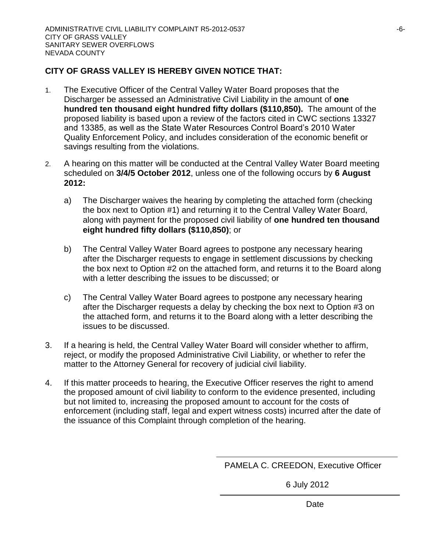# **CITY OF GRASS VALLEY IS HEREBY GIVEN NOTICE THAT:**

- 1. The Executive Officer of the Central Valley Water Board proposes that the Discharger be assessed an Administrative Civil Liability in the amount of **one hundred ten thousand eight hundred fifty dollars (\$110,850).** The amount of the proposed liability is based upon a review of the factors cited in CWC sections 13327 and 13385, as well as the State Water Resources Control Board's 2010 Water Quality Enforcement Policy, and includes consideration of the economic benefit or savings resulting from the violations.
- 2. A hearing on this matter will be conducted at the Central Valley Water Board meeting scheduled on **3/4/5 October 2012**, unless one of the following occurs by **6 August 2012:**
	- a) The Discharger waives the hearing by completing the attached form (checking the box next to Option #1) and returning it to the Central Valley Water Board, along with payment for the proposed civil liability of **one hundred ten thousand eight hundred fifty dollars (\$110,850)**; or
	- b) The Central Valley Water Board agrees to postpone any necessary hearing after the Discharger requests to engage in settlement discussions by checking the box next to Option #2 on the attached form, and returns it to the Board along with a letter describing the issues to be discussed; or
	- c) The Central Valley Water Board agrees to postpone any necessary hearing after the Discharger requests a delay by checking the box next to Option #3 on the attached form, and returns it to the Board along with a letter describing the issues to be discussed.
- 3. If a hearing is held, the Central Valley Water Board will consider whether to affirm, reject, or modify the proposed Administrative Civil Liability, or whether to refer the matter to the Attorney General for recovery of judicial civil liability.
- 4. If this matter proceeds to hearing, the Executive Officer reserves the right to amend the proposed amount of civil liability to conform to the evidence presented, including but not limited to, increasing the proposed amount to account for the costs of enforcement (including staff, legal and expert witness costs) incurred after the date of the issuance of this Complaint through completion of the hearing.

PAMELA C. CREEDON, Executive Officer

6 July 2012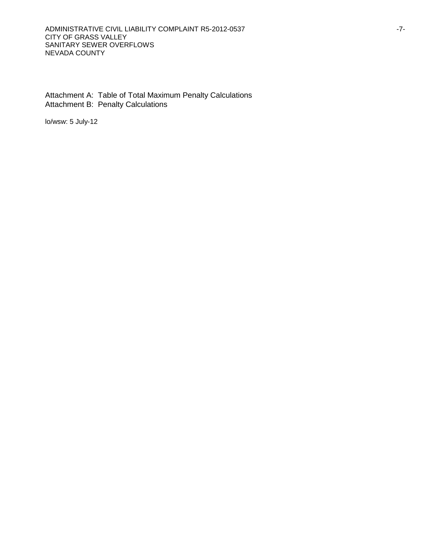Attachment A: Table of Total Maximum Penalty Calculations Attachment B: Penalty Calculations

lo/wsw: 5 July-12